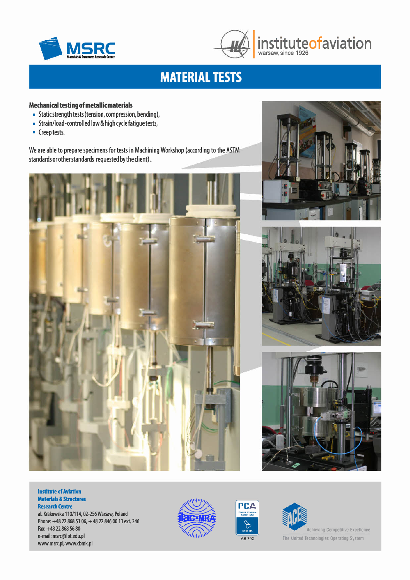



## **MATERIAL TESTS**

### **Mechanical testing of metallic materials**

- Static strength tests (tension, compression, bending),
- Strain/load-controlled low & high cyclefatigue tests,
- Creep tests.

We are able to prepare specimens for tests in Machining Workshop (according to the ASTM standards or other standards requested bythe client).









#### **Institute of Aviation Materials & Structures Research Centre**

al. Krakowska 110/114,02-256 Warsaw, Poland Phone: +48 22 868 51 06, + 48 22 846 0011 ext. 246 Fax:+48 22 868 56 80 e-mail: [msrc@ilot.edu.pl](mailto:msrc@ilot.edu.pl) [www.msrc.pl,](http://www.msrc.pl,) [www.cbmk.pl](http://www.cbmk.pl)